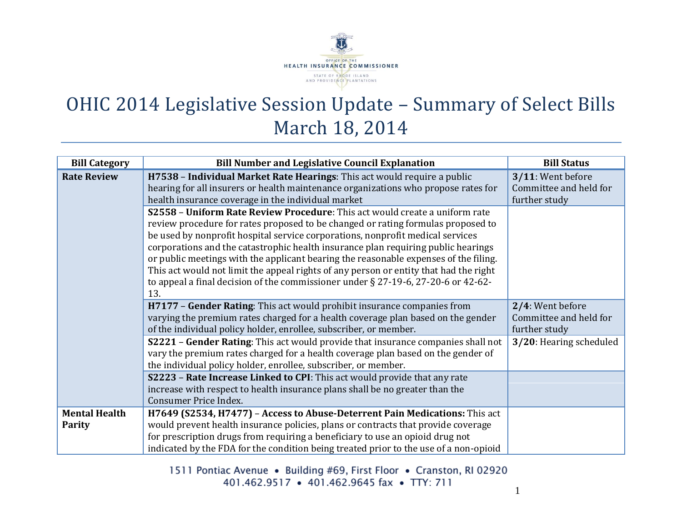

## OHIC 2014 Legislative Session Update – Summary of Select Bills March 18, 2014

| <b>Bill Category</b> | <b>Bill Number and Legislative Council Explanation</b>                                                                                                                                                                                                                                                                                                                                                                                                                                                                                                                                                              | <b>Bill Status</b>                                           |
|----------------------|---------------------------------------------------------------------------------------------------------------------------------------------------------------------------------------------------------------------------------------------------------------------------------------------------------------------------------------------------------------------------------------------------------------------------------------------------------------------------------------------------------------------------------------------------------------------------------------------------------------------|--------------------------------------------------------------|
| <b>Rate Review</b>   | H7538 - Individual Market Rate Hearings: This act would require a public<br>hearing for all insurers or health maintenance organizations who propose rates for<br>health insurance coverage in the individual market                                                                                                                                                                                                                                                                                                                                                                                                | 3/11: Went before<br>Committee and held for<br>further study |
|                      | S2558 - Uniform Rate Review Procedure: This act would create a uniform rate<br>review procedure for rates proposed to be changed or rating formulas proposed to<br>be used by nonprofit hospital service corporations, nonprofit medical services<br>corporations and the catastrophic health insurance plan requiring public hearings<br>or public meetings with the applicant bearing the reasonable expenses of the filing.<br>This act would not limit the appeal rights of any person or entity that had the right<br>to appeal a final decision of the commissioner under § 27-19-6, 27-20-6 or 42-62-<br>13. |                                                              |
|                      | H7177 - Gender Rating: This act would prohibit insurance companies from<br>varying the premium rates charged for a health coverage plan based on the gender<br>of the individual policy holder, enrollee, subscriber, or member.                                                                                                                                                                                                                                                                                                                                                                                    | 2/4: Went before<br>Committee and held for<br>further study  |
|                      | S2221 - Gender Rating: This act would provide that insurance companies shall not<br>vary the premium rates charged for a health coverage plan based on the gender of<br>the individual policy holder, enrollee, subscriber, or member.                                                                                                                                                                                                                                                                                                                                                                              | 3/20: Hearing scheduled                                      |
|                      | S2223 - Rate Increase Linked to CPI: This act would provide that any rate<br>increase with respect to health insurance plans shall be no greater than the<br>Consumer Price Index.                                                                                                                                                                                                                                                                                                                                                                                                                                  |                                                              |
| <b>Mental Health</b> | H7649 (S2534, H7477) - Access to Abuse-Deterrent Pain Medications: This act                                                                                                                                                                                                                                                                                                                                                                                                                                                                                                                                         |                                                              |
| Parity               | would prevent health insurance policies, plans or contracts that provide coverage                                                                                                                                                                                                                                                                                                                                                                                                                                                                                                                                   |                                                              |
|                      | for prescription drugs from requiring a beneficiary to use an opioid drug not<br>indicated by the FDA for the condition being treated prior to the use of a non-opioid                                                                                                                                                                                                                                                                                                                                                                                                                                              |                                                              |

1511 Pontiac Avenue • Building #69, First Floor • Cranston, RI 02920 401.462.9517 • 401.462.9645 fax • TTY: 711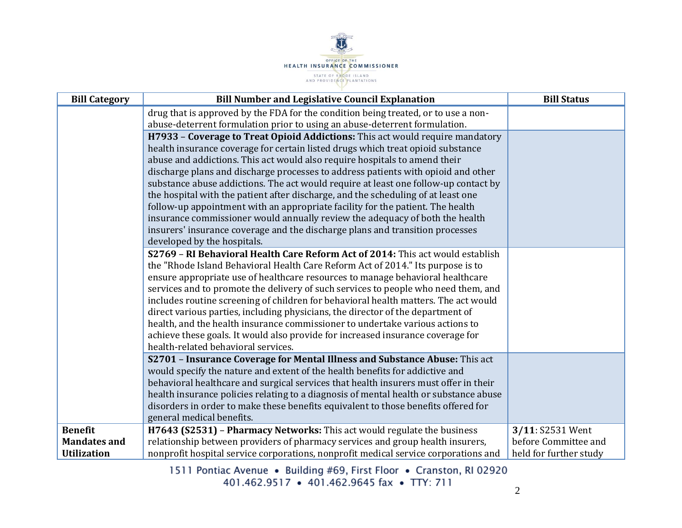

| <b>Bill Category</b> | <b>Bill Number and Legislative Council Explanation</b>                                                                                                        | <b>Bill Status</b>     |
|----------------------|---------------------------------------------------------------------------------------------------------------------------------------------------------------|------------------------|
|                      | drug that is approved by the FDA for the condition being treated, or to use a non-                                                                            |                        |
|                      | abuse-deterrent formulation prior to using an abuse-deterrent formulation.                                                                                    |                        |
|                      | H7933 - Coverage to Treat Opioid Addictions: This act would require mandatory                                                                                 |                        |
|                      | health insurance coverage for certain listed drugs which treat opioid substance                                                                               |                        |
|                      | abuse and addictions. This act would also require hospitals to amend their                                                                                    |                        |
|                      | discharge plans and discharge processes to address patients with opioid and other                                                                             |                        |
|                      | substance abuse addictions. The act would require at least one follow-up contact by                                                                           |                        |
|                      | the hospital with the patient after discharge, and the scheduling of at least one                                                                             |                        |
|                      | follow-up appointment with an appropriate facility for the patient. The health                                                                                |                        |
|                      | insurance commissioner would annually review the adequacy of both the health<br>insurers' insurance coverage and the discharge plans and transition processes |                        |
|                      | developed by the hospitals.                                                                                                                                   |                        |
|                      | S2769 - RI Behavioral Health Care Reform Act of 2014: This act would establish                                                                                |                        |
|                      | the "Rhode Island Behavioral Health Care Reform Act of 2014." Its purpose is to                                                                               |                        |
|                      | ensure appropriate use of healthcare resources to manage behavioral healthcare                                                                                |                        |
|                      | services and to promote the delivery of such services to people who need them, and                                                                            |                        |
|                      | includes routine screening of children for behavioral health matters. The act would                                                                           |                        |
|                      | direct various parties, including physicians, the director of the department of                                                                               |                        |
|                      | health, and the health insurance commissioner to undertake various actions to                                                                                 |                        |
|                      | achieve these goals. It would also provide for increased insurance coverage for                                                                               |                        |
|                      | health-related behavioral services.                                                                                                                           |                        |
|                      | S2701 - Insurance Coverage for Mental Illness and Substance Abuse: This act                                                                                   |                        |
|                      | would specify the nature and extent of the health benefits for addictive and                                                                                  |                        |
|                      | behavioral healthcare and surgical services that health insurers must offer in their                                                                          |                        |
|                      | health insurance policies relating to a diagnosis of mental health or substance abuse                                                                         |                        |
|                      | disorders in order to make these benefits equivalent to those benefits offered for                                                                            |                        |
|                      | general medical benefits.                                                                                                                                     |                        |
| <b>Benefit</b>       | H7643 (S2531) - Pharmacy Networks: This act would regulate the business                                                                                       | 3/11: S2531 Went       |
| <b>Mandates and</b>  | relationship between providers of pharmacy services and group health insurers,                                                                                | before Committee and   |
| <b>Utilization</b>   | nonprofit hospital service corporations, nonprofit medical service corporations and                                                                           | held for further study |

1511 Pontiac Avenue • Building #69, First Floor • Cranston, RI 02920<br>401.462.9517 • 401.462.9645 fax • TTY: 711